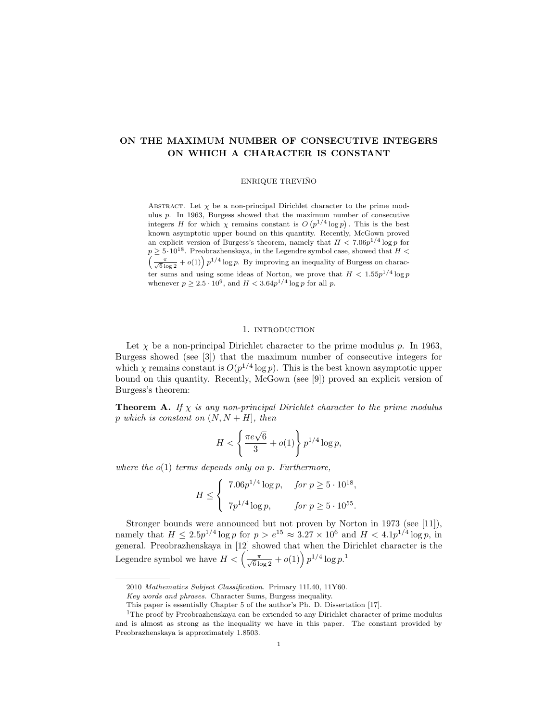# ON THE MAXIMUM NUMBER OF CONSECUTIVE INTEGERS ON WHICH A CHARACTER IS CONSTANT

ENRIQUE TREVINO˜

ABSTRACT. Let  $\chi$  be a non-principal Dirichlet character to the prime modulus p. In 1963, Burgess showed that the maximum number of consecutive integers H for which  $\chi$  remains constant is  $O(p^{1/4} \log p)$ . This is the best known asymptotic upper bound on this quantity. Recently, McGown proved an explicit version of Burgess's theorem, namely that  $H < 7.06p^{1/4}\log p$  for  $p \geq 5 \cdot 10^{18}$ . Preobrazhenskaya, in the Legendre symbol case, showed that  $H \leq$  $\left(\frac{\pi}{\sqrt{6}\log 2}+o(1)\right)p^{1/4}\log p$ . By improving an inequality of Burgess on character sums and using some ideas of Norton, we prove that  $H < 1.55p^{1/4} \log p$ whenever  $p \geq 2.5 \cdot 10^9$ , and  $H < 3.64p^{1/4} \log p$  for all p.

## 1. INTRODUCTION

Let  $\chi$  be a non-principal Dirichlet character to the prime modulus p. In 1963, Burgess showed (see [3]) that the maximum number of consecutive integers for which  $\chi$  remains constant is  $O(p^{1/4} \log p)$ . This is the best known asymptotic upper bound on this quantity. Recently, McGown (see [9]) proved an explicit version of Burgess's theorem:

**Theorem A.** If  $\chi$  is any non-principal Dirichlet character to the prime modulus p which is constant on  $(N, N + H]$ , then

$$
H < \left\{ \frac{\pi e \sqrt{6}}{3} + o(1) \right\} p^{1/4} \log p,
$$

where the  $o(1)$  terms depends only on p. Furthermore,

$$
H \leq \begin{cases} \n7.06p^{1/4} \log p, & \text{for } p \geq 5 \cdot 10^{18}, \\ \n7p^{1/4} \log p, & \text{for } p \geq 5 \cdot 10^{55}. \n\end{cases}
$$

Stronger bounds were announced but not proven by Norton in 1973 (see [11]), namely that  $H \leq 2.5p^{1/4} \log p$  for  $p > e^{15} \approx 3.27 \times 10^6$  and  $H < 4.1p^{1/4} \log p$ , in general. Preobrazhenskaya in [12] showed that when the Dirichlet character is the Legendre symbol we have  $H < \left(\frac{\pi}{\sqrt{6} \log 2} + o(1)\right) p^{1/4} \log p^{1/4}$ 

<sup>2010</sup> Mathematics Subject Classification. Primary 11L40, 11Y60.

Key words and phrases. Character Sums, Burgess inequality.

This paper is essentially Chapter 5 of the author's Ph. D. Dissertation [17].

<sup>&</sup>lt;sup>1</sup>The proof by Preobrazhenskaya can be extended to any Dirichlet character of prime modulus and is almost as strong as the inequality we have in this paper. The constant provided by Preobrazhenskaya is approximately 1.8503.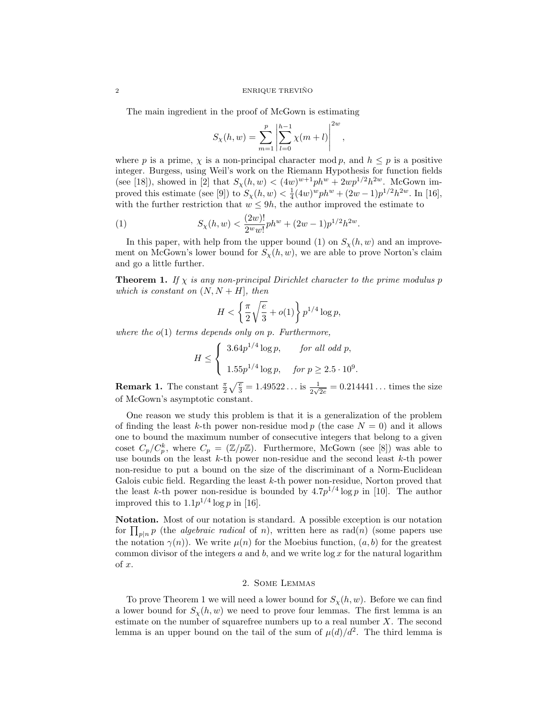#### $\begin{minipage}{.4\linewidth} \textbf{ENRIQUE} \textbf{TRUE} \textbf{TRUE} \end{minipage}$

The main ingredient in the proof of McGown is estimating

$$
S_{\chi}(h, w) = \sum_{m=1}^{p} \left| \sum_{l=0}^{h-1} \chi(m+l) \right|^{2w},
$$

where p is a prime,  $\chi$  is a non-principal character mod p, and  $h \leq p$  is a positive integer. Burgess, using Weil's work on the Riemann Hypothesis for function fields (see [18]), showed in [2] that  $S_{\chi}(h, w) < (4w)^{w+1}ph^{w} + 2wp^{1/2}h^{2w}$ . McGown improved this estimate (see [9]) to  $S_{\chi}(h, w) < \frac{1}{4} (4w)^w p h^w + (2w - 1)p^{1/2} h^{2w}$ . In [16], with the further restriction that  $w \le 9h$ , the author improved the estimate to

(1) 
$$
S_{\chi}(h, w) < \frac{(2w)!}{2^w w!} p h^w + (2w - 1) p^{1/2} h^{2w}.
$$

In this paper, with help from the upper bound (1) on  $S_{\chi}(h, w)$  and an improvement on McGown's lower bound for  $S_{\chi}(h, w)$ , we are able to prove Norton's claim and go a little further.

**Theorem 1.** If  $\chi$  is any non-principal Dirichlet character to the prime modulus p which is constant on  $(N, N + H]$ , then

$$
H < \left\{ \frac{\pi}{2} \sqrt{\frac{e}{3}} + o(1) \right\} p^{1/4} \log p,
$$

where the  $o(1)$  terms depends only on p. Furthermore,

$$
H \le \begin{cases} 3.64p^{1/4}\log p, & \text{for all odd } p, \\ 1.55p^{1/4}\log p, & \text{for } p \ge 2.5 \cdot 10^9. \end{cases}
$$

**Remark 1.** The constant  $\frac{\pi}{2}\sqrt{\frac{e}{3}} = 1.49522...$  is  $\frac{1}{2\sqrt{2e}} = 0.214441...$  times the size of McGown's asymptotic constant.

One reason we study this problem is that it is a generalization of the problem of finding the least k-th power non-residue mod p (the case  $N = 0$ ) and it allows one to bound the maximum number of consecutive integers that belong to a given coset  $C_p/C_p^k$ , where  $C_p = (\mathbb{Z}/p\mathbb{Z})$ . Furthermore, McGown (see [8]) was able to use bounds on the least k-th power non-residue and the second least k-th power non-residue to put a bound on the size of the discriminant of a Norm-Euclidean Galois cubic field. Regarding the least  $k$ -th power non-residue, Norton proved that the least k-th power non-residue is bounded by  $4.7p^{1/4}\log p$  in [10]. The author improved this to  $1.1p^{1/4}\log p$  in [16].

Notation. Most of our notation is standard. A possible exception is our notation for  $\prod_{p|n} p$  (the *algebraic radical* of *n*), written here as rad(*n*) (some papers use the notation  $\gamma(n)$ ). We write  $\mu(n)$  for the Moebius function,  $(a, b)$  for the greatest common divisor of the integers  $a$  and  $b$ , and we write  $\log x$  for the natural logarithm  $of x.$ 

### 2. Some Lemmas

To prove Theorem 1 we will need a lower bound for  $S_{\chi}(h, w)$ . Before we can find a lower bound for  $S_{\chi}(h, w)$  we need to prove four lemmas. The first lemma is an estimate on the number of squarefree numbers up to a real number  $X$ . The second lemma is an upper bound on the tail of the sum of  $\mu(d)/d^2$ . The third lemma is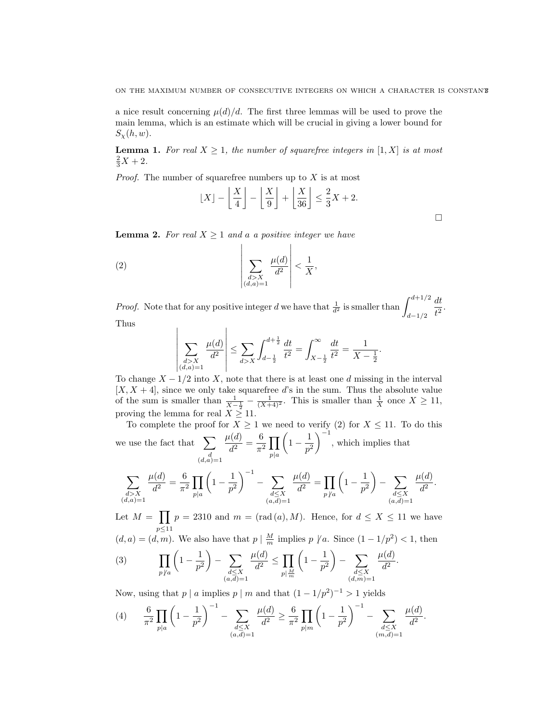a nice result concerning  $\mu(d)/d$ . The first three lemmas will be used to prove the main lemma, which is an estimate which will be crucial in giving a lower bound for  $S_{\mathcal{Y}}(h, w)$ .

**Lemma 1.** For real  $X \geq 1$ , the number of squarefree integers in [1, X] is at most  $\frac{2}{3}X + 2.$ 

*Proof.* The number of squarefree numbers up to  $X$  is at most

$$
\lfloor X \rfloor - \left\lfloor \frac{X}{4} \right\rfloor - \left\lfloor \frac{X}{9} \right\rfloor + \left\lfloor \frac{X}{36} \right\rfloor \le \frac{2}{3}X + 2.
$$

**Lemma 2.** For real  $X \geq 1$  and a a positive integer we have

$$
\left| \sum_{\substack{d>X \\ (d,a)=1}} \frac{\mu(d)}{d^2} \right| < \frac{1}{X},
$$

 $\overline{\phantom{a}}$  $\overline{\phantom{a}}$  $\overline{\phantom{a}}$  $\overline{\phantom{a}}$  $\overline{\phantom{a}}$  $\overline{\phantom{a}}$  $\overline{\phantom{a}}$ 

*Proof.* Note that for any positive integer d we have that  $\frac{1}{d^2}$  is smaller than  $\int_{d-1/2}^{d+1/2}$ dt  $\frac{du}{t^2}$ .

Thus

$$
\sum_{\substack{d>X \ (d,a)=1}} \frac{\mu(d)}{d^2} \le \sum_{d>X} \int_{d-\frac{1}{2}}^{d+\frac{1}{2}} \frac{dt}{t^2} = \int_{X-\frac{1}{2}}^{\infty} \frac{dt}{t^2} = \frac{1}{X-\frac{1}{2}}.
$$

 $\overline{\phantom{a}}$ To change  $X - 1/2$  into X, note that there is at least one d missing in the interval  $[X, X + 4]$ , since we only take squarefree d's in the sum. Thus the absolute value of the sum is smaller than  $\frac{1}{X-\frac{1}{2}}-\frac{1}{(X+4)^2}$ . This is smaller than  $\frac{1}{X}$  once  $X \ge 11$ , proving the lemma for real  $X \geq 11$ .

To complete the proof for  $X \geq 1$  we need to verify (2) for  $X \leq 11$ . To do this we use the fact that  $\sum$  $\binom{d}{(d,a)=1}$  $\mu(d)$  $\frac{d}{d^2}(\frac{d}{d^2})=\frac{6}{\pi^2}$  $\frac{0}{\pi^2}\prod$  $p|a$  $\left(1-\frac{1}{2}\right)$  $p^2$  $\Big)^{-1}$ , which implies that

$$
\sum_{\substack{d>X \ (d,a)=1}} \frac{\mu(d)}{d^2} = \frac{6}{\pi^2} \prod_{p|a} \left(1 - \frac{1}{p^2}\right)^{-1} - \sum_{\substack{d\leq X \ (a,d)=1}} \frac{\mu(d)}{d^2} = \prod_{p\nmid a} \left(1 - \frac{1}{p^2}\right) - \sum_{\substack{d\leq X \ (a,d)=1}} \frac{\mu(d)}{d^2}.
$$

Let  $M = \prod$ p≤11  $p = 2310$  and  $m = (rad(a), M)$ . Hence, for  $d \leq X \leq 11$  we have

 $(d, a) = (d, m)$ . We also have that  $p \mid \frac{M}{m}$  implies  $p \nmid a$ . Since  $(1 - 1/p^2) < 1$ , then

(3) 
$$
\prod_{p \nmid a} \left(1 - \frac{1}{p^2}\right) - \sum_{\substack{d \leq X \\ (a,d)=1}} \frac{\mu(d)}{d^2} \leq \prod_{p \mid \frac{M}{m}} \left(1 - \frac{1}{p^2}\right) - \sum_{\substack{d \leq X \\ (d,m)=1}} \frac{\mu(d)}{d^2}.
$$

Now, using that  $p \mid a$  implies  $p \mid m$  and that  $(1 - 1/p^2)^{-1} > 1$  yields

$$
(4) \qquad \frac{6}{\pi^2} \prod_{p|a} \left(1 - \frac{1}{p^2}\right)^{-1} - \sum_{\substack{d \leq X \\ (a, \overline{d}) = 1}} \frac{\mu(d)}{d^2} \geq \frac{6}{\pi^2} \prod_{p|m} \left(1 - \frac{1}{p^2}\right)^{-1} - \sum_{\substack{d \leq X \\ (m, \overline{d}) = 1}} \frac{\mu(d)}{d^2}.
$$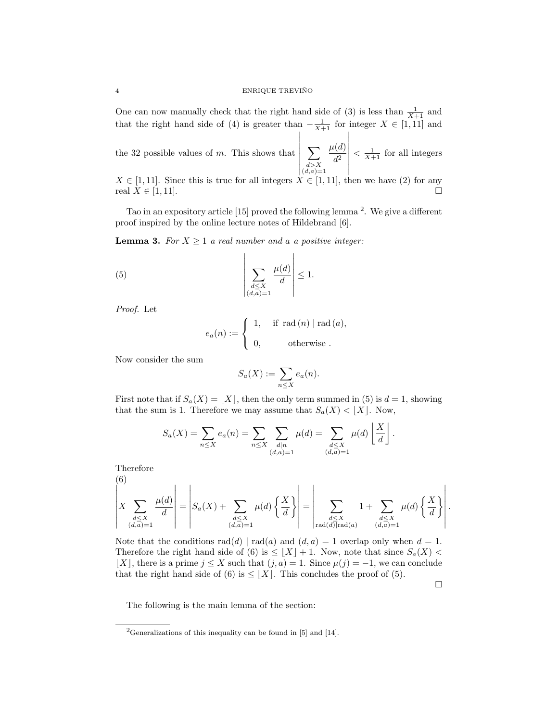One can now manually check that the right hand side of (3) is less than  $\frac{1}{X+1}$  and that the right hand side of (4) is greater than  $-\frac{1}{X+1}$  for integer  $X \in [1,11]$  and

the 32 possible values of  $m$ . This shows that  $\begin{array}{c|c|c|c} \hline \multicolumn{1}{c|}{\textbf{1}} & \multicolumn{1}{c|}{\textbf{1}} \\ \hline \multicolumn{1}{c|}{\textbf{1}} & \multicolumn{1}{c|}{\textbf{1}} \\ \multicolumn{1}{c|}{\textbf{1}} & \multicolumn{1}{c|}{\textbf{1}} \\ \multicolumn{1}{c|}{\textbf{1}} & \multicolumn{1}{c|}{\textbf{1}} \\ \multicolumn{1}{c|}{\textbf{1}} & \multicolumn{1}{c|}{\textbf{1}} \\ \multicolumn{1}{c|}{\textbf{1}} & \multicolumn{1}{c|}{\textbf{$  $\sum$  $d > X$ <br> $(d,a)=1$  $\mu(d)$  $d^2$   $\langle \frac{1}{X+1} \text{ for all integers} \rangle$ 

 $X \in [1, 11]$ . Since this is true for all integers  $X \in [1, 11]$ , then we have (2) for any real  $X \in [1, 11]$ .

Tao in an expository article [15] proved the following lemma<sup>2</sup>. We give a different proof inspired by the online lecture notes of Hildebrand [6].

**Lemma 3.** For  $X \geq 1$  a real number and a a positive integer:

(5) 
$$
\left| \sum_{\substack{d \leq X \\ (d,a)=1}} \frac{\mu(d)}{d} \right| \leq 1.
$$

Proof. Let

$$
e_a(n) := \begin{cases} 1, & \text{if } \operatorname{rad}(n) \mid \operatorname{rad}(a), \\ 0, & \text{otherwise} . \end{cases}
$$

Now consider the sum

$$
S_a(X) := \sum_{n \le X} e_a(n).
$$

First note that if  $S_a(X) = \lfloor X \rfloor$ , then the only term summed in (5) is  $d = 1$ , showing that the sum is 1. Therefore we may assume that  $S_a(X) < |X|$ . Now,

$$
S_a(X) = \sum_{n \le X} e_a(n) = \sum_{n \le X} \sum_{\substack{d|n \\ (d,a)=1}} \mu(d) = \sum_{\substack{d \le X \\ (d,a)=1}} \mu(d) \left\lfloor \frac{X}{d} \right\rfloor.
$$

Therefore

(6)  

$$
\left| X \sum_{\substack{d \leq X \\ (d,a)=1}} \frac{\mu(d)}{d} \right| = \left| S_a(X) + \sum_{\substack{d \leq X \\ (d,a)=1}} \mu(d) \left\{ \frac{X}{d} \right\} \right| = \left| \sum_{\substack{d \leq X \\ \text{rad}(d) \mid \text{rad}(a)}} 1 + \sum_{\substack{d \leq X \\ (d,a)=1}} \mu(d) \left\{ \frac{X}{d} \right\} \right|.
$$

Note that the conditions  $rad(d) | rad(a)$  and  $(d, a) = 1$  overlap only when  $d = 1$ . Therefore the right hand side of (6) is  $\leq |X| + 1$ . Now, note that since  $S_a(X)$  $[X]$ , there is a prime  $j \leq X$  such that  $(j, a) = 1$ . Since  $\mu(j) = -1$ , we can conclude that the right hand side of (6) is  $\leq$  [X]. This concludes the proof of (5).

 $\Box$ 

The following is the main lemma of the section:

<sup>&</sup>lt;sup>2</sup>Generalizations of this inequality can be found in [5] and [14].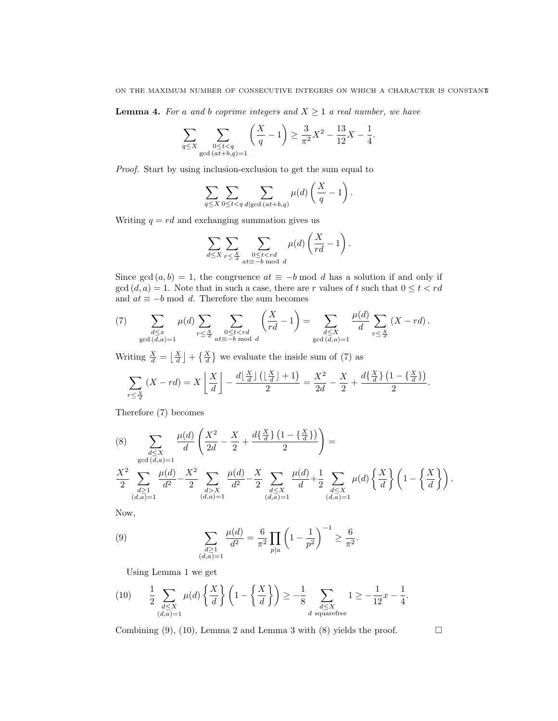## ON THE MAXIMUM NUMBER OF CONSECUTIVE INTEGERS ON WHICH A CHARACTER IS CONSTANT5

**Lemma 4.** For a and b coprime integers and  $X \geq 1$  a real number, we have

$$
\sum_{q \leq X} \sum_{\substack{0 \leq t < q \\ \gcd{(at+b,q)=1}}} \left( \frac{X}{q} - 1 \right) \geq \frac{3}{\pi^2} X^2 - \frac{13}{12} X - \frac{1}{4}.
$$

Proof. Start by using inclusion-exclusion to get the sum equal to

$$
\sum_{q\leq X}\sum_{0\leq t
$$

Writing  $q = rd$  and exchanging summation gives us

$$
\sum_{d\leq X}\sum_{r\leq \frac{X}{d}}\sum_{\substack{0\leq t
$$

Since gcd  $(a, b) = 1$ , the congruence  $at \equiv -b \mod d$  has a solution if and only if  $gcd(d, a) = 1$ . Note that in such a case, there are r values of t such that  $0 \le t < rd$ and  $at \equiv -b \mod d$ . Therefore the sum becomes

(7) 
$$
\sum_{\substack{d \leq x \\ \gcd(d,a)=1}} \mu(d) \sum_{r \leq \frac{X}{d}} \sum_{\substack{0 \leq t < rd \\ at \equiv -b \bmod d}} \left(\frac{X}{rd} - 1\right) = \sum_{\substack{d \leq X \\ \gcd(d,a)=1}} \frac{\mu(d)}{d} \sum_{r \leq \frac{X}{d}} (X - rd).
$$

Writing  $\frac{X}{d} = \left\lfloor \frac{X}{d} \right\rfloor + \left\{ \frac{X}{d} \right\}$  we evaluate the inside sum of (7) as

$$
\sum_{r \leq \frac{X}{d}} (X - rd) = X \left\lfloor \frac{X}{d} \right\rfloor - \frac{d \left\lfloor \frac{X}{d} \right\rfloor \left( \left\lfloor \frac{X}{d} \right\rfloor + 1 \right)}{2} = \frac{X^2}{2d} - \frac{X}{2} + \frac{d \left\{ \frac{X}{d} \right\} \left( 1 - \left\{ \frac{X}{d} \right\} \right)}{2}.
$$

Therefore (7) becomes

$$
(8) \sum_{\substack{d \leq X \\ \gcd\left(\overline{d},a\right)=1}} \frac{\mu(d)}{d} \left(\frac{X^2}{2d} - \frac{X}{2} + \frac{d\{\frac{X}{d}\}\left(1 - \{\frac{X}{d}\}\right)}{2}\right) =
$$
  

$$
\sum_{\substack{d \geq 1 \\ (d,a)=1}} \frac{\mu(d)}{d^2} - \frac{X^2}{2} \sum_{\substack{d>X \\ (d,a)=1}} \frac{\mu(d)}{d^2} - \frac{X}{2} \sum_{\substack{d \leq X \\ (d,a)=1}} \frac{\mu(d)}{d} + \frac{1}{2} \sum_{\substack{d \leq X \\ (d,a)=1}} \mu(d) \left\{\frac{X}{d}\right\} \left(1 - \left\{\frac{X}{d}\right\}\right).
$$

Now,

(9) 
$$
\sum_{\substack{d\geq 1\\(d,a)=1}}\frac{\mu(d)}{d^2}=\frac{6}{\pi^2}\prod_{p|a}\left(1-\frac{1}{p^2}\right)^{-1}\geq \frac{6}{\pi^2}.
$$

Using Lemma 1 we get

$$
(10) \qquad \frac{1}{2} \sum_{\substack{d \leq X \\ (d,a)=1}} \mu(d) \left\{ \frac{X}{d} \right\} \left( 1 - \left\{ \frac{X}{d} \right\} \right) \geq -\frac{1}{8} \sum_{\substack{d \leq X \\ d \text{ squarefree}}} 1 \geq -\frac{1}{12} x - \frac{1}{4}.
$$

Combining (9), (10), Lemma 2 and Lemma 3 with (8) yields the proof.  $\Box$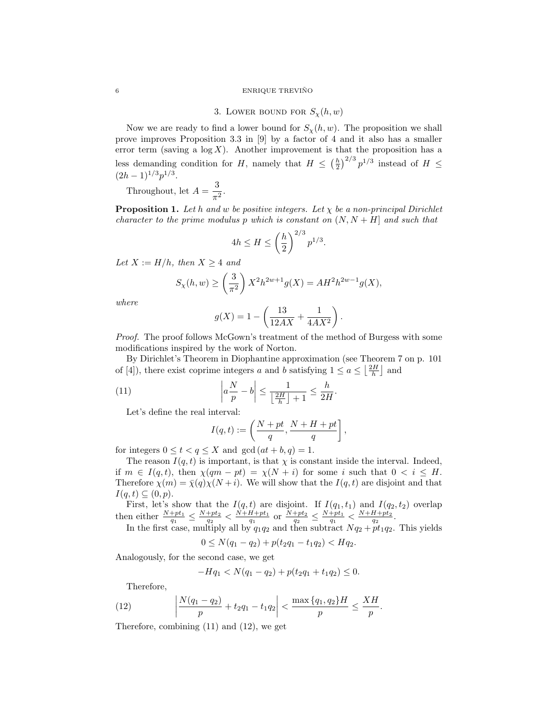#### 6 ENRIQUE TREVIÑO

3. LOWER BOUND FOR  $S_{\chi}(h, w)$ 

Now we are ready to find a lower bound for  $S_{\chi}(h, w)$ . The proposition we shall prove improves Proposition 3.3 in [9] by a factor of 4 and it also has a smaller error term (saving a  $log X$ ). Another improvement is that the proposition has a less demanding condition for H, namely that  $H \leq (\frac{h}{2})^{2/3} p^{1/3}$  instead of  $H \leq$  $(2h-1)^{1/3}p^{1/3}.$ 

Throughout, let  $A = \frac{3}{4}$  $\frac{6}{\pi^2}$ .

**Proposition 1.** Let h and w be positive integers. Let  $\chi$  be a non-principal Dirichlet character to the prime modulus p which is constant on  $(N, N + H]$  and such that

$$
4h \le H \le \left(\frac{h}{2}\right)^{2/3} p^{1/3}.
$$

Let  $X := H/h$ , then  $X \geq 4$  and

$$
S_{\chi}(h, w) \ge \left(\frac{3}{\pi^2}\right) X^2 h^{2w+1} g(X) = A H^2 h^{2w-1} g(X),
$$

where

$$
g(X) = 1 - \left(\frac{13}{12AX} + \frac{1}{4AX^2}\right).
$$

Proof. The proof follows McGown's treatment of the method of Burgess with some modifications inspired by the work of Norton.

By Dirichlet's Theorem in Diophantine approximation (see Theorem 7 on p. 101 of [4]), there exist coprime integers a and b satisfying  $1 \le a \le \lfloor \frac{2H}{h} \rfloor$  and

(11) 
$$
\left| a \frac{N}{p} - b \right| \le \frac{1}{\left\lfloor \frac{2H}{h} \right\rfloor + 1} \le \frac{h}{2H}.
$$

Let's define the real interval:

$$
I(q,t) := \left(\frac{N+pt}{q}, \frac{N+H+pt}{q}\right],
$$

for integers  $0 \le t < q \le X$  and  $gcd(at + b, q) = 1$ .

The reason  $I(q, t)$  is important, is that  $\chi$  is constant inside the interval. Indeed, if  $m \in I(q,t)$ , then  $\chi(qm - pt) = \chi(N + i)$  for some i such that  $0 \le i \le H$ . Therefore  $\chi(m) = \bar{\chi}(q)\chi(N+i)$ . We will show that the  $I(q, t)$  are disjoint and that  $I(q,t) \subseteq (0,p).$ 

First, let's show that the  $I(q,t)$  are disjoint. If  $I(q_1,t_1)$  and  $I(q_2,t_2)$  overlap then either  $\frac{N+pt_1}{q_1} \leq \frac{N+pt_2}{q_2} < \frac{N+H+pt_1}{q_1}$  or  $\frac{N+pt_2}{q_2} \leq \frac{N+pt_1}{q_1} < \frac{N+H+pt_2}{q_2}$ .

In the first case, multiply all by  $q_1q_2$  and then subtract  $Nq_2 + pt_1q_2$ . This yields

$$
0 \le N(q_1 - q_2) + p(t_2 q_1 - t_1 q_2) < H q_2.
$$

Analogously, for the second case, we get

$$
-Hq_1 < N(q_1 - q_2) + p(t_2q_1 + t_1q_2) \le 0.
$$

Therefore,

(12) 
$$
\left|\frac{N(q_1-q_2)}{p}+t_2q_1-t_1q_2\right|<\frac{\max\{q_1,q_2\}H}{p}\leq\frac{XH}{p}.
$$

Therefore, combining (11) and (12), we get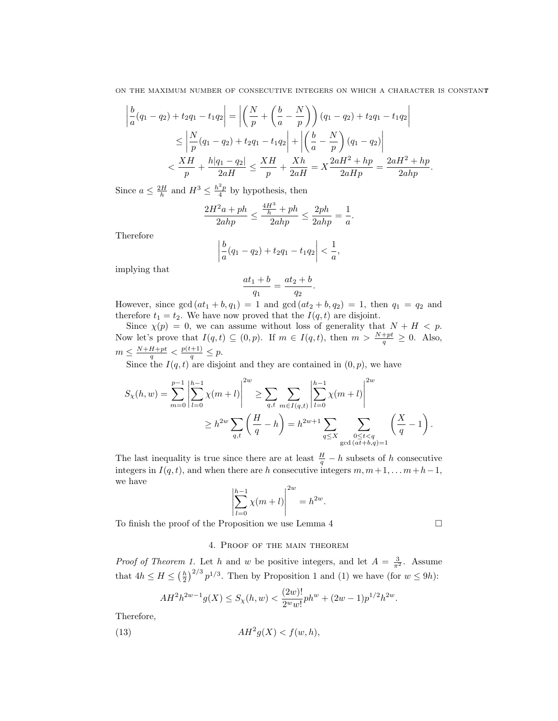ON THE MAXIMUM NUMBER OF CONSECUTIVE INTEGERS ON WHICH A CHARACTER IS CONSTANT7

$$
\left| \frac{b}{a}(q_1 - q_2) + t_2 q_1 - t_1 q_2 \right| = \left| \left( \frac{N}{p} + \left( \frac{b}{a} - \frac{N}{p} \right) \right) (q_1 - q_2) + t_2 q_1 - t_1 q_2 \right|
$$
  
\n
$$
\leq \left| \frac{N}{p}(q_1 - q_2) + t_2 q_1 - t_1 q_2 \right| + \left| \left( \frac{b}{a} - \frac{N}{p} \right) (q_1 - q_2) \right|
$$
  
\n
$$
< \frac{XH}{p} + \frac{h|q_1 - q_2|}{2aH} \leq \frac{XH}{p} + \frac{Xh}{2aH} = X \frac{2aH^2 + hp}{2aHp} = \frac{2aH^2 + hp}{2ahp}.
$$

Since  $a \leq \frac{2H}{h}$  and  $H^3 \leq \frac{h^2p}{4}$  by hypothesis, then

$$
\frac{2H^2a + ph}{2ahp} \le \frac{\frac{4H^3}{h} + ph}{2ahp} \le \frac{2ph}{2ahp} = \frac{1}{a}.
$$

Therefore

$$
\left|\frac{b}{a}(q_1-q_2)+t_2q_1-t_1q_2\right|<\frac{1}{a},
$$

implying that

$$
\frac{at_1 + b}{q_1} = \frac{at_2 + b}{q_2}.
$$

However, since  $gcd(at_1 + b, q_1) = 1$  and  $gcd(at_2 + b, q_2) = 1$ , then  $q_1 = q_2$  and therefore  $t_1 = t_2$ . We have now proved that the  $I(q, t)$  are disjoint.

Since  $\chi(p) = 0$ , we can assume without loss of generality that  $N + H < p$ . Now let's prove that  $I(q,t) \subseteq (0,p)$ . If  $m \in I(q,t)$ , then  $m > \frac{N+pt}{q} \ge 0$ . Also,  $m \leq \frac{N+H+pt}{q} < \frac{p(t+1)}{q} \leq p.$ 

Since the  $I(q,t)$  are disjoint and they are contained in  $(0, p)$ , we have

$$
S_{\chi}(h, w) = \sum_{m=0}^{p-1} \left| \sum_{l=0}^{h-1} \chi(m+l) \right|^{2w} \ge \sum_{q,t} \sum_{m \in I(q,t)} \left| \sum_{l=0}^{h-1} \chi(m+l) \right|^{2w}
$$
  

$$
\ge h^{2w} \sum_{q,t} \left( \frac{H}{q} - h \right) = h^{2w+1} \sum_{q \le X} \sum_{\substack{0 \le t < q \\ \gcd(at+b,q)=1}} \left( \frac{X}{q} - 1 \right).
$$

The last inequality is true since there are at least  $\frac{H}{q} - h$  subsets of h consecutive integers in  $I(q, t)$ , and when there are h consecutive integers  $m, m+1, \ldots, m+h-1$ , we have

$$
\left| \sum_{l=0}^{h-1} \chi(m+l) \right|^{2w} = h^{2w}.
$$

To finish the proof of the Proposition we use Lemma 4

## 4. Proof of the main theorem

*Proof of Theorem 1.* Let h and w be positive integers, and let  $A = \frac{3}{\pi^2}$ . Assume that  $4h \leq H \leq (\frac{h}{2})^{2/3} p^{1/3}$ . Then by Proposition 1 and (1) we have (for  $w \leq 9h$ ):

$$
AH^{2}h^{2w-1}g(X) \leq S_{\chi}(h, w) < \frac{(2w)!}{2^{w}w!}ph^{w} + (2w-1)p^{1/2}h^{2w}.
$$

Therefore,

(13) 
$$
AH^2g(X) < f(w, h),
$$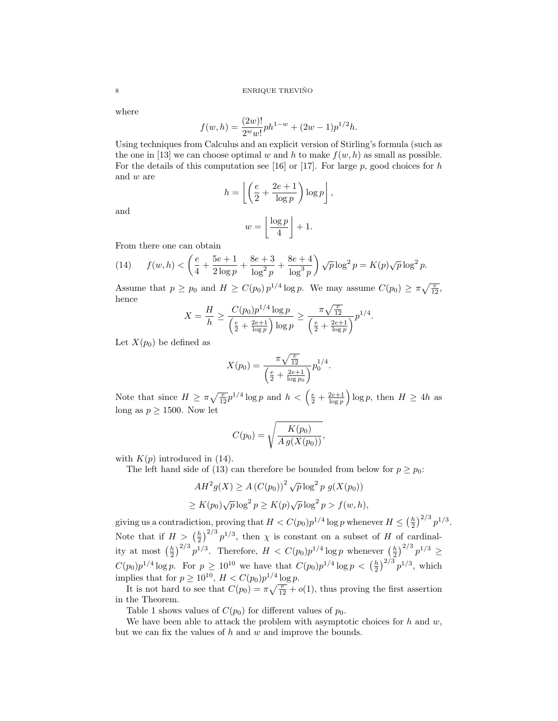where

$$
f(w, h) = \frac{(2w)!}{2^w w!} ph^{1-w} + (2w - 1)p^{1/2}h.
$$

Using techniques from Calculus and an explicit version of Stirling's formula (such as the one in [13] we can choose optimal w and h to make  $f(w, h)$  as small as possible. For the details of this computation see [16] or [17]. For large  $p$ , good choices for h and w are

$$
h = \left\lfloor \left( \frac{e}{2} + \frac{2e+1}{\log p} \right) \log p \right\rfloor,
$$

and

$$
w = \left\lfloor \frac{\log p}{4} \right\rfloor + 1.
$$

From there one can obtain

(14) 
$$
f(w,h) < \left(\frac{e}{4} + \frac{5e+1}{2\log p} + \frac{8e+3}{\log^2 p} + \frac{8e+4}{\log^3 p}\right) \sqrt{p} \log^2 p = K(p)\sqrt{p} \log^2 p.
$$

Assume that  $p \ge p_0$  and  $H \ge C(p_0) p^{1/4} \log p$ . We may assume  $C(p_0) \ge \pi \sqrt{\frac{e}{12}}$ , hence

$$
X = \frac{H}{h} \ge \frac{C(p_0)p^{1/4}\log p}{\left(\frac{e}{2} + \frac{2e+1}{\log p}\right)\log p} \ge \frac{\pi\sqrt{\frac{e}{12}}}{\left(\frac{e}{2} + \frac{2e+1}{\log p}\right)}p^{1/4}.
$$

Let  $X(p_0)$  be defined as

$$
X(p_0) = \frac{\pi \sqrt{\frac{e}{12}}}{\left(\frac{e}{2} + \frac{2e+1}{\log p_0}\right)} p_0^{1/4}.
$$

Note that since  $H \ge \pi \sqrt{\frac{e}{12}} p^{1/4} \log p$  and  $h < \left(\frac{e}{2} + \frac{2e+1}{\log p}\right) \log p$ , then  $H \ge 4h$  as long as  $p \ge 1500$ . Now let

$$
C(p_0) = \sqrt{\frac{K(p_0)}{A g(X(p_0))}},
$$

with  $K(p)$  introduced in (14).

The left hand side of (13) can therefore be bounded from below for  $p \geq p_0$ :

$$
AH^2g(X) \ge A (C(p_0))^2 \sqrt{p} \log^2 p g(X(p_0))
$$
  
\n
$$
\ge K(p_0)\sqrt{p} \log^2 p \ge K(p)\sqrt{p} \log^2 p > f(w, h),
$$

giving us a contradiction, proving that  $H < C(p_0)p^{1/4}\log p$  whenever  $H \leq (\frac{h}{2})^{2/3}p^{1/3}$ . Note that if  $H > (\frac{h}{2})^{2/3} p^{1/3}$ , then  $\chi$  is constant on a subset of H of cardinality at most  $\left(\frac{h}{2}\right)^{2/3} p^{1/3}$ . Therefore,  $H < C(p_0) p^{1/4} \log p$  whenever  $\left(\frac{h}{2}\right)^{2/3} p^{1/3} \ge$  $C(p_0)p^{1/4}\log p$ . For  $p \ge 10^{10}$  we have that  $C(p_0)p^{1/4}\log p \, < \left(\frac{h}{2}\right)^{2/3}p^{1/3}$ , which implies that for  $p \ge 10^{10}$ ,  $H < C(p_0)p^{1/4} \log p$ .

It is not hard to see that  $C(p_0) = \pi \sqrt{\frac{e}{12}} + o(1)$ , thus proving the first assertion in the Theorem.

Table 1 shows values of  $C(p_0)$  for different values of  $p_0$ .

We have been able to attack the problem with asymptotic choices for  $h$  and  $w$ , but we can fix the values of  $h$  and  $w$  and improve the bounds.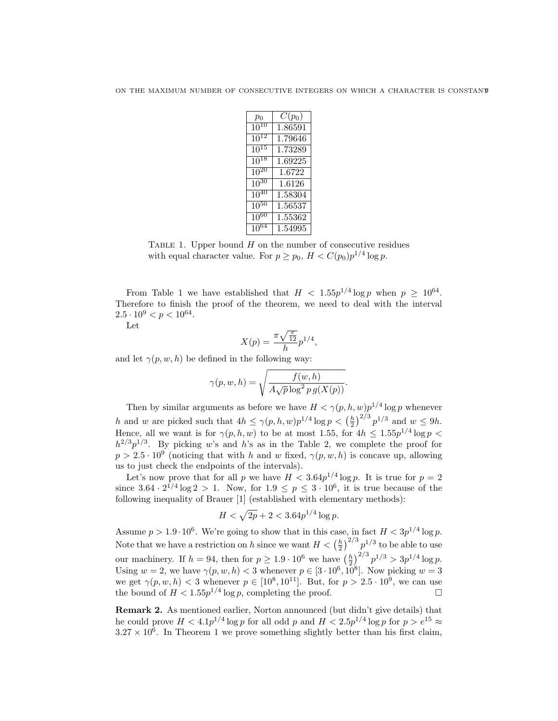| $p_0$       | $C(p_0)$ |
|-------------|----------|
| $10^{10}$   | 1.86591  |
| $10^{12}$   | 1.79646  |
| $10^{15}$   | 1.73289  |
| $10^{18}$   | 1.69225  |
| $10^{20}$   | 1.6722   |
| $10^{30}$   | 1.6126   |
| $10^{40}$   | 1.58304  |
| $10^{50}\,$ | 1.56537  |
| $10^{60}$   | 1.55362  |
| $10^{64}$   | 1.54995  |

TABLE 1. Upper bound  $H$  on the number of consecutive residues with equal character value. For  $p \ge p_0$ ,  $H < C(p_0)p^{1/4}\log p$ .

From Table 1 we have established that  $H < 1.55p^{1/4} \log p$  when  $p \ge 10^{64}$ . Therefore to finish the proof of the theorem, we need to deal with the interval  $2.5 \cdot 10^9 < p < 10^{64}$ .

Let

$$
X(p) = \frac{\pi \sqrt{\frac{e}{12}}}{h} p^{1/4},
$$

and let  $\gamma(p, w, h)$  be defined in the following way:

$$
\gamma(p, w, h) = \sqrt{\frac{f(w, h)}{A\sqrt{p}\log^2 p g(X(p))}}.
$$

Then by similar arguments as before we have  $H < \gamma(p, h, w)p^{1/4}\log p$  whenever h and w are picked such that  $4h \le \gamma(p, h, w)p^{1/4}\log p < (\frac{h}{2})^{2/3}p^{1/3}$  and  $w \le 9h$ . Hence, all we want is for  $\gamma(p, h, w)$  to be at most 1.55, for  $4h \leq 1.55p^{1/4} \log p$  $h^{2/3}p^{1/3}$ . By picking w's and h's as in the Table 2, we complete the proof for  $p > 2.5 \cdot 10^9$  (noticing that with h and w fixed,  $\gamma(p, w, h)$  is concave up, allowing us to just check the endpoints of the intervals).

Let's now prove that for all p we have  $H < 3.64p^{1/4}\log p$ . It is true for  $p = 2$ since  $3.64 \cdot 2^{1/4} \log 2 > 1$ . Now, for  $1.9 \le p \le 3 \cdot 10^6$ , it is true because of the following inequality of Brauer [1] (established with elementary methods):

$$
H < \sqrt{2p} + 2 < 3.64p^{1/4} \log p.
$$

Assume  $p > 1.9 \cdot 10^6$ . We're going to show that in this case, in fact  $H < 3p^{1/4} \log p$ . Note that we have a restriction on h since we want  $H < (\frac{h}{2})^{2/3} p^{1/3}$  to be able to use our machinery. If  $h = 94$ , then for  $p \ge 1.9 \cdot 10^6$  we have  $\left(\frac{h}{2}\right)^{2/3} p^{1/3} > 3p^{1/4} \log p$ . Using  $w = 2$ , we have  $\gamma(p, w, h) < 3$  whenever  $p \in [3 \cdot 10^6, 10^8]$ . Now picking  $w = 3$ we get  $\gamma(p, w, h) < 3$  whenever  $p \in [10^8, 10^{11}]$ . But, for  $p > 2.5 \cdot 10^9$ , we can use the bound of  $H < 1.55p^{1/4} \log p$ , completing the proof.

Remark 2. As mentioned earlier, Norton announced (but didn't give details) that he could prove  $H < 4.1p^{1/4}\log p$  for all odd p and  $H < 2.5p^{1/4}\log p$  for  $p > e^{15} \approx$  $3.27 \times 10^6$ . In Theorem 1 we prove something slightly better than his first claim,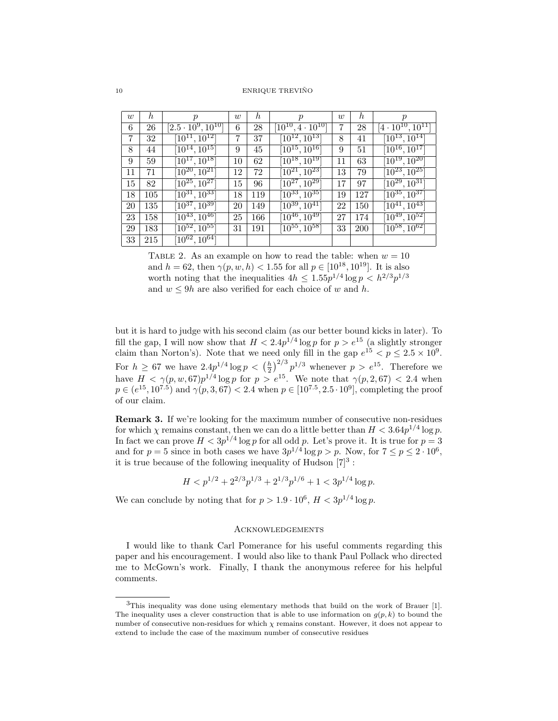10 ENRIQUE TREVIÑO

| w  | h   | $\mathcal{D}$                   | w  | $\hbar$ | $\boldsymbol{p}$                | $\boldsymbol{w}$ | $\hbar$ | $\boldsymbol{p}$                |
|----|-----|---------------------------------|----|---------|---------------------------------|------------------|---------|---------------------------------|
| 6  | 26  | $[2.5 \cdot 10^9, 10^{10}]$     | 6  | 28      | $[10^{10}, 4\cdot10^{10}]$      | 7                | 28      | $[4\cdot 10^{10}, 10^{11}]$     |
| 7  | 32  | $[10^{11}, 10^{12}]$            | 7  | 37      | $[10^{12}, 10^{13}]$            | 8                | 41      | $[10^{13}, 10^{14}]$            |
| 8  | 44  | $[10^{14}, 10^{15}]$            | 9  | 45      | $[10^{15}, 10^{16}]$            | 9                | 51      | $[10^{16}, 10^{17}]$            |
| 9  | 59  | $[1\overline{0}^{17}, 10^{18}]$ | 10 | 62      | $\overline{[10^{18},10^{19}]}$  | 11               | 63      | $[10^{19}, 10^{20}]$            |
| 11 | 71  | $[10^{20}, 10^{21}]$            | 12 | 72      | $[10^{21}, 10^{23}]$            | 13               | 79      | $\left[10^{23}, 10^{25}\right]$ |
| 15 | 82  | $\left[10^{25}, 10^{27}\right]$ | 15 | 96      | $[10^{27}, 10^{29}]$            | 17               | 97      | $\sqrt{10^{29}, 10^{31}}$       |
| 18 | 105 | $[10^{31}, 10^{33}]$            | 18 | 119     | $[10^{33}, 10^{35}]$            | 19               | 127     | $[10^{35}, 10^{37}]$            |
| 20 | 135 | $[10^{37}, 10^{39}]$            | 20 | 149     | $\overline{10}^{39}, 10^{41}$   | 22               | 150     | $[10^{41}, 10^{\overline{43}}]$ |
| 23 | 158 | $[10^{43}, 10^{46}]$            | 25 | 166     | $[10^{46}, 10^{\overline{49}}]$ | 27               | 174     | $[10^{49}, \overline{10^{52}}]$ |
| 29 | 183 | $\left[10^{52}, 10^{55}\right]$ | 31 | 191     | $[10^{55}, \overline{10^{58}}]$ | 33               | 200     | $[10^{58},\overline{10^{62}}]$  |
| 33 | 215 | $\left[10^{62}, 10^{64}\right]$ |    |         |                                 |                  |         |                                 |

TABLE 2. As an example on how to read the table: when  $w = 10$ and  $h = 62$ , then  $\gamma(p, w, h) < 1.55$  for all  $p \in [10^{18}, 10^{19}]$ . It is also worth noting that the inequalities  $4h \leq 1.55p^{1/4} \log p \lt h^{2/3} p^{1/3}$ and  $w \le 9h$  are also verified for each choice of w and h.

but it is hard to judge with his second claim (as our better bound kicks in later). To fill the gap, I will now show that  $H < 2.4p^{1/4} \log p$  for  $p > e^{15}$  (a slightly stronger claim than Norton's). Note that we need only fill in the gap  $e^{15} < p \leq 2.5 \times 10^9$ . For  $h \geq 67$  we have  $2.4p^{1/4} \log p \, < \left(\frac{h}{2}\right)^{2/3} p^{1/3}$  whenever  $p > e^{15}$ . Therefore we have  $H < \gamma(p, w, 67)p^{1/4}\log p$  for  $p > e^{15}$ . We note that  $\gamma(p, 2, 67) < 2.4$  when  $p \in (e^{15}, 10^{7.5})$  and  $\gamma(p, 3, 67) < 2.4$  when  $p \in [10^{7.5}, 2.5 \cdot 10^9]$ , completing the proof of our claim.

Remark 3. If we're looking for the maximum number of consecutive non-residues for which  $\chi$  remains constant, then we can do a little better than  $H < 3.64p^{1/4} \log p$ . In fact we can prove  $H < 3p^{1/4} \log p$  for all odd p. Let's prove it. It is true for  $p = 3$ and for  $p = 5$  since in both cases we have  $3p^{1/4} \log p > p$ . Now, for  $7 \le p \le 2 \cdot 10^6$ , it is true because of the following inequality of Hudson  $[7]^3$ :

$$
H < p^{1/2} + 2^{2/3} p^{1/3} + 2^{1/3} p^{1/6} + 1 < 3p^{1/4} \log p.
$$

We can conclude by noting that for  $p > 1.9 \cdot 10^6$ ,  $H < 3p^{1/4} \log p$ .

#### **ACKNOWLEDGEMENTS**

I would like to thank Carl Pomerance for his useful comments regarding this paper and his encouragement. I would also like to thank Paul Pollack who directed me to McGown's work. Finally, I thank the anonymous referee for his helpful comments.

<sup>3</sup>This inequality was done using elementary methods that build on the work of Brauer [1]. The inequality uses a clever construction that is able to use information on  $g(p, k)$  to bound the number of consecutive non-residues for which  $\chi$  remains constant. However, it does not appear to extend to include the case of the maximum number of consecutive residues